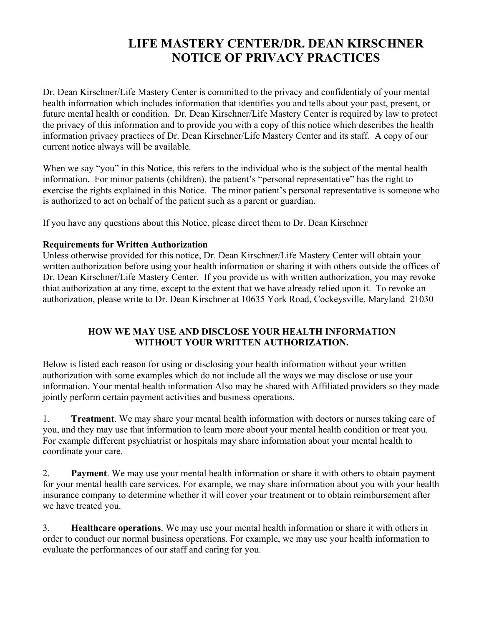## **LIFE MASTERY CENTER/DR. DEAN KIRSCHNER NOTICE OF PRIVACY PRACTICES**

Dr. Dean Kirschner/Life Mastery Center is committed to the privacy and confidentialy of your mental health information which includes information that identifies you and tells about your past, present, or future mental health or condition. Dr. Dean Kirschner/Life Mastery Center is required by law to protect the privacy of this information and to provide you with a copy of this notice which describes the health information privacy practices of Dr. Dean Kirschner/Life Mastery Center and its staff. A copy of our current notice always will be available.

When we say "you" in this Notice, this refers to the individual who is the subject of the mental health information. For minor patients (children), the patient's "personal representative" has the right to exercise the rights explained in this Notice. The minor patient's personal representative is someone who is authorized to act on behalf of the patient such as a parent or guardian.

If you have any questions about this Notice, please direct them to Dr. Dean Kirschner

## **Requirements for Written Authorization**

Unless otherwise provided for this notice, Dr. Dean Kirschner/Life Mastery Center will obtain your written authorization before using your health information or sharing it with others outside the offices of Dr. Dean Kirschner/Life Mastery Center. If you provide us with written authorization, you may revoke thiat authorization at any time, except to the extent that we have already relied upon it. To revoke an authorization, please write to Dr. Dean Kirschner at 10635 York Road, Cockeysville, Maryland 21030

## **HOW WE MAY USE AND DISCLOSE YOUR HEALTH INFORMATION WITHOUT YOUR WRITTEN AUTHORIZATION.**

Below is listed each reason for using or disclosing your health information without your written authorization with some examples which do not include all the ways we may disclose or use your information. Your mental health information Also may be shared with Affiliated providers so they made jointly perform certain payment activities and business operations.

1. **Treatment**. We may share your mental health information with doctors or nurses taking care of you, and they may use that information to learn more about your mental health condition or treat you. For example different psychiatrist or hospitals may share information about your mental health to coordinate your care.

2. **Payment**. We may use your mental health information or share it with others to obtain payment for your mental health care services. For example, we may share information about you with your health insurance company to determine whether it will cover your treatment or to obtain reimbursement after we have treated you.

3. **Healthcare operations**. We may use your mental health information or share it with others in order to conduct our normal business operations. For example, we may use your health information to evaluate the performances of our staff and caring for you.